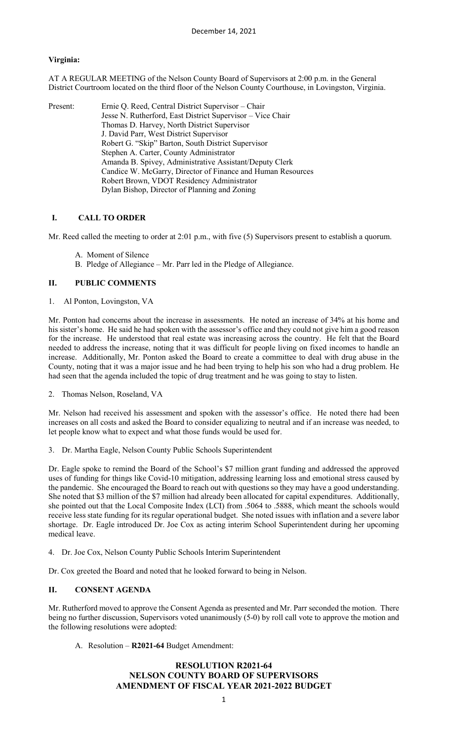# **Virginia:**

AT A REGULAR MEETING of the Nelson County Board of Supervisors at 2:00 p.m. in the General District Courtroom located on the third floor of the Nelson County Courthouse, in Lovingston, Virginia.

| Present: | Ernie Q. Reed, Central District Supervisor – Chair          |
|----------|-------------------------------------------------------------|
|          | Jesse N. Rutherford, East District Supervisor – Vice Chair  |
|          | Thomas D. Harvey, North District Supervisor                 |
|          | J. David Parr, West District Supervisor                     |
|          | Robert G. "Skip" Barton, South District Supervisor          |
|          | Stephen A. Carter, County Administrator                     |
|          | Amanda B. Spivey, Administrative Assistant/Deputy Clerk     |
|          | Candice W. McGarry, Director of Finance and Human Resources |
|          | Robert Brown, VDOT Residency Administrator                  |
|          | Dylan Bishop, Director of Planning and Zoning               |

## **I. CALL TO ORDER**

Mr. Reed called the meeting to order at 2:01 p.m., with five (5) Supervisors present to establish a quorum.

- A. Moment of Silence
- B. Pledge of Allegiance Mr. Parr led in the Pledge of Allegiance.

## **II. PUBLIC COMMENTS**

1. Al Ponton, Lovingston, VA

Mr. Ponton had concerns about the increase in assessments. He noted an increase of 34% at his home and his sister's home. He said he had spoken with the assessor's office and they could not give him a good reason for the increase. He understood that real estate was increasing across the country. He felt that the Board needed to address the increase, noting that it was difficult for people living on fixed incomes to handle an increase. Additionally, Mr. Ponton asked the Board to create a committee to deal with drug abuse in the County, noting that it was a major issue and he had been trying to help his son who had a drug problem. He had seen that the agenda included the topic of drug treatment and he was going to stay to listen.

2. Thomas Nelson, Roseland, VA

Mr. Nelson had received his assessment and spoken with the assessor's office. He noted there had been increases on all costs and asked the Board to consider equalizing to neutral and if an increase was needed, to let people know what to expect and what those funds would be used for.

3. Dr. Martha Eagle, Nelson County Public Schools Superintendent

Dr. Eagle spoke to remind the Board of the School's \$7 million grant funding and addressed the approved uses of funding for things like Covid-10 mitigation, addressing learning loss and emotional stress caused by the pandemic. She encouraged the Board to reach out with questions so they may have a good understanding. She noted that \$3 million of the \$7 million had already been allocated for capital expenditures. Additionally, she pointed out that the Local Composite Index (LCI) from .5064 to .5888, which meant the schools would receive less state funding for its regular operational budget. She noted issues with inflation and a severe labor shortage. Dr. Eagle introduced Dr. Joe Cox as acting interim School Superintendent during her upcoming medical leave.

4. Dr. Joe Cox, Nelson County Public Schools Interim Superintendent

Dr. Cox greeted the Board and noted that he looked forward to being in Nelson.

#### **II. CONSENT AGENDA**

Mr. Rutherford moved to approve the Consent Agenda as presented and Mr. Parr seconded the motion. There being no further discussion, Supervisors voted unanimously (5-0) by roll call vote to approve the motion and the following resolutions were adopted:

A. Resolution – **R2021-64** Budget Amendment:

# **RESOLUTION R2021-64 NELSON COUNTY BOARD OF SUPERVISORS AMENDMENT OF FISCAL YEAR 2021-2022 BUDGET**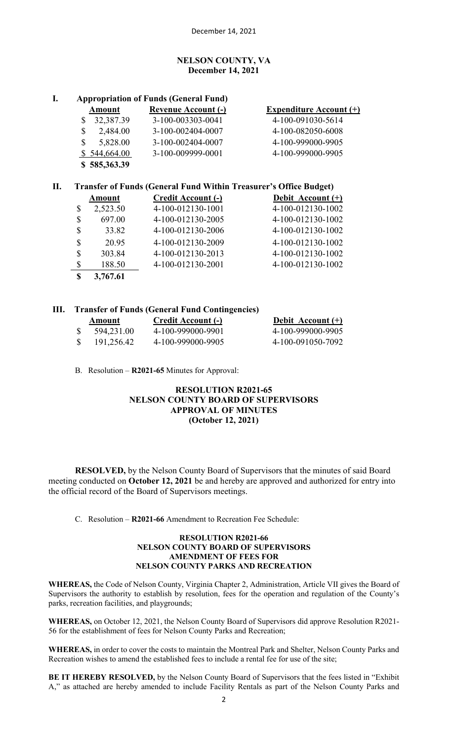## **NELSON COUNTY, VA December 14, 2021**

# **I. Appropriation of Funds (General Fund)**

| Amount         | <b>Revenue Account (-)</b> | <b>Expenditure Account (+)</b> |
|----------------|----------------------------|--------------------------------|
| 32,387.39      | 3-100-003303-0041          | 4-100-091030-5614              |
| 2,484.00<br>\$ | 3-100-002404-0007          | 4-100-082050-6008              |
| 5,828.00<br>S  | 3-100-002404-0007          | 4-100-999000-9905              |
| \$544,664.00   | 3-100-009999-0001          | 4-100-999000-9905              |
| \$585,363.39   |                            |                                |

# **II. Transfer of Funds (General Fund Within Treasurer's Office Budget)**

|    | <b>Amount</b> | <b>Credit Account (-)</b> | Debit Account (+) |
|----|---------------|---------------------------|-------------------|
| \$ | 2,523.50      | 4-100-012130-1001         | 4-100-012130-1002 |
| \$ | 697.00        | 4-100-012130-2005         | 4-100-012130-1002 |
| \$ | 33.82         | 4-100-012130-2006         | 4-100-012130-1002 |
| \$ | 20.95         | 4-100-012130-2009         | 4-100-012130-1002 |
| \$ | 303.84        | 4-100-012130-2013         | 4-100-012130-1002 |
| \$ | 188.50        | 4-100-012130-2001         | 4-100-012130-1002 |
| S  | 3,767.61      |                           |                   |

# **III. Transfer of Funds (General Fund Contingencies)**

| Amount     | <b>Credit Account (-)</b> | Debit Account (+) |
|------------|---------------------------|-------------------|
| 594,231.00 | 4-100-999000-9901         | 4-100-999000-9905 |
| 191,256.42 | 4-100-999000-9905         | 4-100-091050-7092 |

B. Resolution – **R2021-65** Minutes for Approval:

# **RESOLUTION R2021-65 NELSON COUNTY BOARD OF SUPERVISORS APPROVAL OF MINUTES (October 12, 2021)**

**RESOLVED,** by the Nelson County Board of Supervisors that the minutes of said Board meeting conducted on **October 12, 2021** be and hereby are approved and authorized for entry into the official record of the Board of Supervisors meetings.

C. Resolution – **R2021-66** Amendment to Recreation Fee Schedule:

#### **RESOLUTION R2021-66 NELSON COUNTY BOARD OF SUPERVISORS AMENDMENT OF FEES FOR NELSON COUNTY PARKS AND RECREATION**

**WHEREAS,** the Code of Nelson County, Virginia Chapter 2, Administration, Article VII gives the Board of Supervisors the authority to establish by resolution, fees for the operation and regulation of the County's parks, recreation facilities, and playgrounds;

**WHEREAS,** on October 12, 2021, the Nelson County Board of Supervisors did approve Resolution R2021- 56 for the establishment of fees for Nelson County Parks and Recreation;

**WHEREAS,** in order to cover the costs to maintain the Montreal Park and Shelter, Nelson County Parks and Recreation wishes to amend the established fees to include a rental fee for use of the site;

**BE IT HEREBY RESOLVED,** by the Nelson County Board of Supervisors that the fees listed in "Exhibit A," as attached are hereby amended to include Facility Rentals as part of the Nelson County Parks and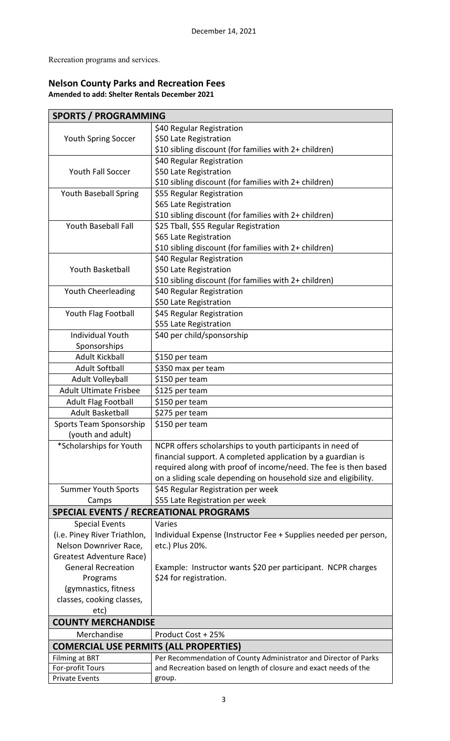Recreation programs and services.

# **Nelson County Parks and Recreation Fees Amended to add: Shelter Rentals December 2021**

| <b>SPORTS / PROGRAMMING</b>                   |                                                                  |  |  |  |
|-----------------------------------------------|------------------------------------------------------------------|--|--|--|
|                                               | \$40 Regular Registration                                        |  |  |  |
| Youth Spring Soccer                           | \$50 Late Registration                                           |  |  |  |
|                                               | \$10 sibling discount (for families with 2+ children)            |  |  |  |
|                                               | \$40 Regular Registration                                        |  |  |  |
| <b>Youth Fall Soccer</b>                      | \$50 Late Registration                                           |  |  |  |
|                                               | \$10 sibling discount (for families with 2+ children)            |  |  |  |
| <b>Youth Baseball Spring</b>                  | \$55 Regular Registration                                        |  |  |  |
|                                               | \$65 Late Registration                                           |  |  |  |
|                                               | \$10 sibling discount (for families with 2+ children)            |  |  |  |
| <b>Youth Baseball Fall</b>                    | \$25 Tball, \$55 Regular Registration                            |  |  |  |
|                                               | \$65 Late Registration                                           |  |  |  |
|                                               | \$10 sibling discount (for families with 2+ children)            |  |  |  |
|                                               | \$40 Regular Registration                                        |  |  |  |
| <b>Youth Basketball</b>                       | \$50 Late Registration                                           |  |  |  |
|                                               | \$10 sibling discount (for families with 2+ children)            |  |  |  |
| Youth Cheerleading                            | \$40 Regular Registration                                        |  |  |  |
|                                               | \$50 Late Registration                                           |  |  |  |
| Youth Flag Football                           | \$45 Regular Registration                                        |  |  |  |
|                                               | \$55 Late Registration                                           |  |  |  |
| <b>Individual Youth</b>                       | \$40 per child/sponsorship                                       |  |  |  |
| Sponsorships                                  |                                                                  |  |  |  |
| <b>Adult Kickball</b>                         | \$150 per team                                                   |  |  |  |
| <b>Adult Softball</b>                         | \$350 max per team                                               |  |  |  |
| Adult Volleyball                              | \$150 per team                                                   |  |  |  |
| <b>Adult Ultimate Frisbee</b>                 | \$125 per team                                                   |  |  |  |
| <b>Adult Flag Football</b>                    | \$150 per team                                                   |  |  |  |
| <b>Adult Basketball</b>                       | \$275 per team                                                   |  |  |  |
| Sports Team Sponsorship                       | \$150 per team                                                   |  |  |  |
| (youth and adult)                             |                                                                  |  |  |  |
| *Scholarships for Youth                       | NCPR offers scholarships to youth participants in need of        |  |  |  |
|                                               | financial support. A completed application by a guardian is      |  |  |  |
|                                               | required along with proof of income/need. The fee is then based  |  |  |  |
|                                               | on a sliding scale depending on household size and eligibility.  |  |  |  |
| <b>Summer Youth Sports</b>                    | \$45 Regular Registration per week                               |  |  |  |
| Camps                                         | \$55 Late Registration per week                                  |  |  |  |
|                                               | <b>SPECIAL EVENTS / RECREATIONAL PROGRAMS</b>                    |  |  |  |
| <b>Special Events</b>                         | Varies                                                           |  |  |  |
| (i.e. Piney River Triathlon,                  | Individual Expense (Instructor Fee + Supplies needed per person, |  |  |  |
| Nelson Downriver Race,                        | etc.) Plus 20%.                                                  |  |  |  |
| Greatest Adventure Race)                      |                                                                  |  |  |  |
| <b>General Recreation</b>                     | Example: Instructor wants \$20 per participant. NCPR charges     |  |  |  |
| Programs                                      | \$24 for registration.                                           |  |  |  |
| (gymnastics, fitness                          |                                                                  |  |  |  |
| classes, cooking classes,                     |                                                                  |  |  |  |
| etc)                                          |                                                                  |  |  |  |
|                                               | <b>COUNTY MERCHANDISE</b>                                        |  |  |  |
| Merchandise                                   | Product Cost + 25%                                               |  |  |  |
| <b>COMERCIAL USE PERMITS (ALL PROPERTIES)</b> |                                                                  |  |  |  |
| <b>Filming at BRT</b>                         | Per Recommendation of County Administrator and Director of Parks |  |  |  |
| For-profit Tours                              | and Recreation based on length of closure and exact needs of the |  |  |  |
| <b>Private Events</b>                         | group.                                                           |  |  |  |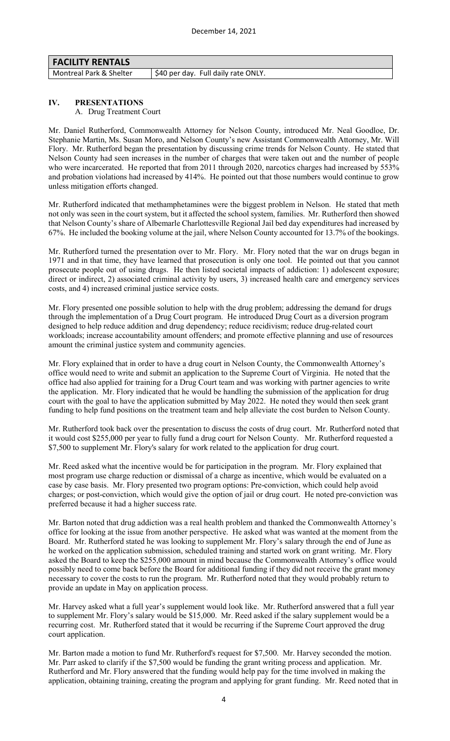| <b>FACILITY RENTALS</b> |                                     |
|-------------------------|-------------------------------------|
| Montreal Park & Shelter | \$40 per day. Full daily rate ONLY. |
|                         |                                     |

## **IV. PRESENTATIONS**

A. Drug Treatment Court

Mr. Daniel Rutherford, Commonwealth Attorney for Nelson County, introduced Mr. Neal Goodloe, Dr. Stephanie Martin, Ms. Susan Moro, and Nelson County's new Assistant Commonwealth Attorney, Mr. Will Flory. Mr. Rutherford began the presentation by discussing crime trends for Nelson County. He stated that Nelson County had seen increases in the number of charges that were taken out and the number of people who were incarcerated. He reported that from 2011 through 2020, narcotics charges had increased by 553% and probation violations had increased by 414%. He pointed out that those numbers would continue to grow unless mitigation efforts changed.

Mr. Rutherford indicated that methamphetamines were the biggest problem in Nelson. He stated that meth not only was seen in the court system, but it affected the school system, families. Mr. Rutherford then showed that Nelson County's share of Albemarle Charlottesville Regional Jail bed day expenditures had increased by 67%. He included the booking volume at the jail, where Nelson County accounted for 13.7% of the bookings.

Mr. Rutherford turned the presentation over to Mr. Flory. Mr. Flory noted that the war on drugs began in 1971 and in that time, they have learned that prosecution is only one tool. He pointed out that you cannot prosecute people out of using drugs. He then listed societal impacts of addiction: 1) adolescent exposure; direct or indirect, 2) associated criminal activity by users, 3) increased health care and emergency services costs, and 4) increased criminal justice service costs.

Mr. Flory presented one possible solution to help with the drug problem; addressing the demand for drugs through the implementation of a Drug Court program. He introduced Drug Court as a diversion program designed to help reduce addition and drug dependency; reduce recidivism; reduce drug-related court workloads; increase accountability amount offenders; and promote effective planning and use of resources amount the criminal justice system and community agencies.

Mr. Flory explained that in order to have a drug court in Nelson County, the Commonwealth Attorney's office would need to write and submit an application to the Supreme Court of Virginia. He noted that the office had also applied for training for a Drug Court team and was working with partner agencies to write the application. Mr. Flory indicated that he would be handling the submission of the application for drug court with the goal to have the application submitted by May 2022. He noted they would then seek grant funding to help fund positions on the treatment team and help alleviate the cost burden to Nelson County.

Mr. Rutherford took back over the presentation to discuss the costs of drug court. Mr. Rutherford noted that it would cost \$255,000 per year to fully fund a drug court for Nelson County. Mr. Rutherford requested a \$7,500 to supplement Mr. Flory's salary for work related to the application for drug court.

Mr. Reed asked what the incentive would be for participation in the program. Mr. Flory explained that most program use charge reduction or dismissal of a charge as incentive, which would be evaluated on a case by case basis. Mr. Flory presented two program options: Pre-conviction, which could help avoid charges; or post-conviction, which would give the option of jail or drug court. He noted pre-conviction was preferred because it had a higher success rate.

Mr. Barton noted that drug addiction was a real health problem and thanked the Commonwealth Attorney's office for looking at the issue from another perspective. He asked what was wanted at the moment from the Board. Mr. Rutherford stated he was looking to supplement Mr. Flory's salary through the end of June as he worked on the application submission, scheduled training and started work on grant writing. Mr. Flory asked the Board to keep the \$255,000 amount in mind because the Commonwealth Attorney's office would possibly need to come back before the Board for additional funding if they did not receive the grant money necessary to cover the costs to run the program. Mr. Rutherford noted that they would probably return to provide an update in May on application process.

Mr. Harvey asked what a full year's supplement would look like. Mr. Rutherford answered that a full year to supplement Mr. Flory's salary would be \$15,000. Mr. Reed asked if the salary supplement would be a recurring cost. Mr. Rutherford stated that it would be recurring if the Supreme Court approved the drug court application.

Mr. Barton made a motion to fund Mr. Rutherford's request for \$7,500. Mr. Harvey seconded the motion. Mr. Parr asked to clarify if the \$7,500 would be funding the grant writing process and application. Mr. Rutherford and Mr. Flory answered that the funding would help pay for the time involved in making the application, obtaining training, creating the program and applying for grant funding. Mr. Reed noted that in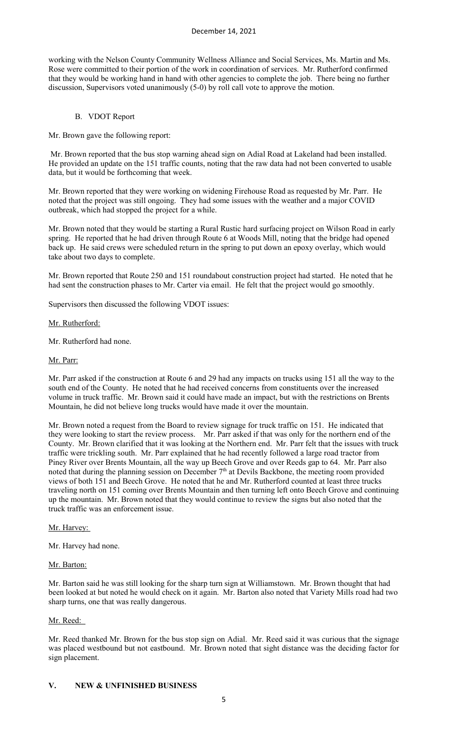working with the Nelson County Community Wellness Alliance and Social Services, Ms. Martin and Ms. Rose were committed to their portion of the work in coordination of services. Mr. Rutherford confirmed that they would be working hand in hand with other agencies to complete the job. There being no further discussion, Supervisors voted unanimously (5-0) by roll call vote to approve the motion.

## B. VDOT Report

Mr. Brown gave the following report:

Mr. Brown reported that the bus stop warning ahead sign on Adial Road at Lakeland had been installed. He provided an update on the 151 traffic counts, noting that the raw data had not been converted to usable data, but it would be forthcoming that week.

Mr. Brown reported that they were working on widening Firehouse Road as requested by Mr. Parr. He noted that the project was still ongoing. They had some issues with the weather and a major COVID outbreak, which had stopped the project for a while.

Mr. Brown noted that they would be starting a Rural Rustic hard surfacing project on Wilson Road in early spring. He reported that he had driven through Route 6 at Woods Mill, noting that the bridge had opened back up. He said crews were scheduled return in the spring to put down an epoxy overlay, which would take about two days to complete.

Mr. Brown reported that Route 250 and 151 roundabout construction project had started. He noted that he had sent the construction phases to Mr. Carter via email. He felt that the project would go smoothly.

Supervisors then discussed the following VDOT issues:

#### Mr. Rutherford:

Mr. Rutherford had none.

#### Mr. Parr:

Mr. Parr asked if the construction at Route 6 and 29 had any impacts on trucks using 151 all the way to the south end of the County. He noted that he had received concerns from constituents over the increased volume in truck traffic. Mr. Brown said it could have made an impact, but with the restrictions on Brents Mountain, he did not believe long trucks would have made it over the mountain.

Mr. Brown noted a request from the Board to review signage for truck traffic on 151. He indicated that they were looking to start the review process. Mr. Parr asked if that was only for the northern end of the County. Mr. Brown clarified that it was looking at the Northern end. Mr. Parr felt that the issues with truck traffic were trickling south. Mr. Parr explained that he had recently followed a large road tractor from Piney River over Brents Mountain, all the way up Beech Grove and over Reeds gap to 64. Mr. Parr also noted that during the planning session on December  $7<sup>th</sup>$  at Devils Backbone, the meeting room provided views of both 151 and Beech Grove. He noted that he and Mr. Rutherford counted at least three trucks traveling north on 151 coming over Brents Mountain and then turning left onto Beech Grove and continuing up the mountain. Mr. Brown noted that they would continue to review the signs but also noted that the truck traffic was an enforcement issue.

#### Mr. Harvey:

Mr. Harvey had none.

#### Mr. Barton:

Mr. Barton said he was still looking for the sharp turn sign at Williamstown. Mr. Brown thought that had been looked at but noted he would check on it again. Mr. Barton also noted that Variety Mills road had two sharp turns, one that was really dangerous.

## Mr. Reed:

Mr. Reed thanked Mr. Brown for the bus stop sign on Adial. Mr. Reed said it was curious that the signage was placed westbound but not eastbound. Mr. Brown noted that sight distance was the deciding factor for sign placement.

#### **V. NEW & UNFINISHED BUSINESS**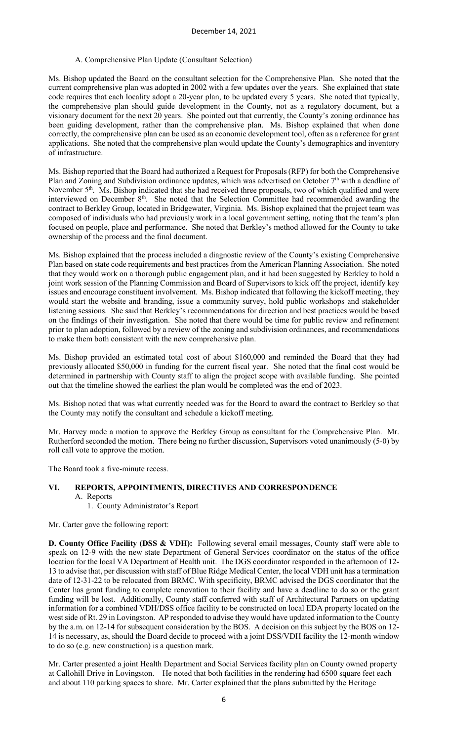#### A. Comprehensive Plan Update (Consultant Selection)

Ms. Bishop updated the Board on the consultant selection for the Comprehensive Plan. She noted that the current comprehensive plan was adopted in 2002 with a few updates over the years. She explained that state code requires that each locality adopt a 20-year plan, to be updated every 5 years. She noted that typically, the comprehensive plan should guide development in the County, not as a regulatory document, but a visionary document for the next 20 years. She pointed out that currently, the County's zoning ordinance has been guiding development, rather than the comprehensive plan. Ms. Bishop explained that when done correctly, the comprehensive plan can be used as an economic development tool, often as a reference for grant applications. She noted that the comprehensive plan would update the County's demographics and inventory of infrastructure.

Ms. Bishop reported that the Board had authorized a Request for Proposals (RFP) for both the Comprehensive Plan and Zoning and Subdivision ordinance updates, which was advertised on October  $7<sup>th</sup>$  with a deadline of November 5<sup>th</sup>. Ms. Bishop indicated that she had received three proposals, two of which qualified and were interviewed on December 8<sup>th</sup>. She noted that the Selection Committee had recommended awarding the contract to Berkley Group, located in Bridgewater, Virginia. Ms. Bishop explained that the project team was composed of individuals who had previously work in a local government setting, noting that the team's plan focused on people, place and performance. She noted that Berkley's method allowed for the County to take ownership of the process and the final document.

Ms. Bishop explained that the process included a diagnostic review of the County's existing Comprehensive Plan based on state code requirements and best practices from the American Planning Association. She noted that they would work on a thorough public engagement plan, and it had been suggested by Berkley to hold a joint work session of the Planning Commission and Board of Supervisors to kick off the project, identify key issues and encourage constituent involvement. Ms. Bishop indicated that following the kickoff meeting, they would start the website and branding, issue a community survey, hold public workshops and stakeholder listening sessions. She said that Berkley's recommendations for direction and best practices would be based on the findings of their investigation. She noted that there would be time for public review and refinement prior to plan adoption, followed by a review of the zoning and subdivision ordinances, and recommendations to make them both consistent with the new comprehensive plan.

Ms. Bishop provided an estimated total cost of about \$160,000 and reminded the Board that they had previously allocated \$50,000 in funding for the current fiscal year. She noted that the final cost would be determined in partnership with County staff to align the project scope with available funding. She pointed out that the timeline showed the earliest the plan would be completed was the end of 2023.

Ms. Bishop noted that was what currently needed was for the Board to award the contract to Berkley so that the County may notify the consultant and schedule a kickoff meeting.

Mr. Harvey made a motion to approve the Berkley Group as consultant for the Comprehensive Plan. Mr. Rutherford seconded the motion. There being no further discussion, Supervisors voted unanimously (5-0) by roll call vote to approve the motion.

The Board took a five-minute recess.

#### **VI. REPORTS, APPOINTMENTS, DIRECTIVES AND CORRESPONDENCE** A. Reports

1. County Administrator's Report

Mr. Carter gave the following report:

**D. County Office Facility (DSS & VDH):** Following several email messages, County staff were able to speak on 12-9 with the new state Department of General Services coordinator on the status of the office location for the local VA Department of Health unit. The DGS coordinator responded in the afternoon of 12- 13 to advise that, per discussion with staff of Blue Ridge Medical Center, the local VDH unit has a termination date of 12-31-22 to be relocated from BRMC. With specificity, BRMC advised the DGS coordinator that the Center has grant funding to complete renovation to their facility and have a deadline to do so or the grant funding will be lost. Additionally, County staff conferred with staff of Architectural Partners on updating information for a combined VDH/DSS office facility to be constructed on local EDA property located on the west side of Rt. 29 in Lovingston. AP responded to advise they would have updated information to the County by the a.m. on 12-14 for subsequent consideration by the BOS. A decision on this subject by the BOS on 12- 14 is necessary, as, should the Board decide to proceed with a joint DSS/VDH facility the 12-month window to do so (e.g. new construction) is a question mark.

Mr. Carter presented a joint Health Department and Social Services facility plan on County owned property at Callohill Drive in Lovingston. He noted that both facilities in the rendering had 6500 square feet each and about 110 parking spaces to share. Mr. Carter explained that the plans submitted by the Heritage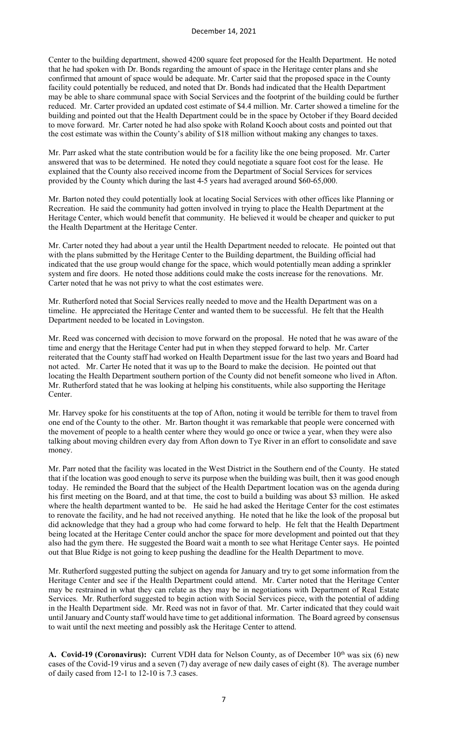Center to the building department, showed 4200 square feet proposed for the Health Department. He noted that he had spoken with Dr. Bonds regarding the amount of space in the Heritage center plans and she confirmed that amount of space would be adequate. Mr. Carter said that the proposed space in the County facility could potentially be reduced, and noted that Dr. Bonds had indicated that the Health Department may be able to share communal space with Social Services and the footprint of the building could be further reduced. Mr. Carter provided an updated cost estimate of \$4.4 million. Mr. Carter showed a timeline for the building and pointed out that the Health Department could be in the space by October if they Board decided to move forward. Mr. Carter noted he had also spoke with Roland Kooch about costs and pointed out that the cost estimate was within the County's ability of \$18 million without making any changes to taxes.

Mr. Parr asked what the state contribution would be for a facility like the one being proposed. Mr. Carter answered that was to be determined. He noted they could negotiate a square foot cost for the lease. He explained that the County also received income from the Department of Social Services for services provided by the County which during the last 4-5 years had averaged around \$60-65,000.

Mr. Barton noted they could potentially look at locating Social Services with other offices like Planning or Recreation. He said the community had gotten involved in trying to place the Health Department at the Heritage Center, which would benefit that community. He believed it would be cheaper and quicker to put the Health Department at the Heritage Center.

Mr. Carter noted they had about a year until the Health Department needed to relocate. He pointed out that with the plans submitted by the Heritage Center to the Building department, the Building official had indicated that the use group would change for the space, which would potentially mean adding a sprinkler system and fire doors. He noted those additions could make the costs increase for the renovations. Mr. Carter noted that he was not privy to what the cost estimates were.

Mr. Rutherford noted that Social Services really needed to move and the Health Department was on a timeline. He appreciated the Heritage Center and wanted them to be successful. He felt that the Health Department needed to be located in Lovingston.

Mr. Reed was concerned with decision to move forward on the proposal. He noted that he was aware of the time and energy that the Heritage Center had put in when they stepped forward to help. Mr. Carter reiterated that the County staff had worked on Health Department issue for the last two years and Board had not acted. Mr. Carter He noted that it was up to the Board to make the decision. He pointed out that locating the Health Department southern portion of the County did not benefit someone who lived in Afton. Mr. Rutherford stated that he was looking at helping his constituents, while also supporting the Heritage Center.

Mr. Harvey spoke for his constituents at the top of Afton, noting it would be terrible for them to travel from one end of the County to the other. Mr. Barton thought it was remarkable that people were concerned with the movement of people to a health center where they would go once or twice a year, when they were also talking about moving children every day from Afton down to Tye River in an effort to consolidate and save money.

Mr. Parr noted that the facility was located in the West District in the Southern end of the County. He stated that if the location was good enough to serve its purpose when the building was built, then it was good enough today. He reminded the Board that the subject of the Health Department location was on the agenda during his first meeting on the Board, and at that time, the cost to build a building was about \$3 million. He asked where the health department wanted to be. He said he had asked the Heritage Center for the cost estimates to renovate the facility, and he had not received anything. He noted that he like the look of the proposal but did acknowledge that they had a group who had come forward to help. He felt that the Health Department being located at the Heritage Center could anchor the space for more development and pointed out that they also had the gym there. He suggested the Board wait a month to see what Heritage Center says. He pointed out that Blue Ridge is not going to keep pushing the deadline for the Health Department to move.

Mr. Rutherford suggested putting the subject on agenda for January and try to get some information from the Heritage Center and see if the Health Department could attend. Mr. Carter noted that the Heritage Center may be restrained in what they can relate as they may be in negotiations with Department of Real Estate Services. Mr. Rutherford suggested to begin action with Social Services piece, with the potential of adding in the Health Department side. Mr. Reed was not in favor of that. Mr. Carter indicated that they could wait until January and County staff would have time to get additional information. The Board agreed by consensus to wait until the next meeting and possibly ask the Heritage Center to attend.

**A. Covid-19 (Coronavirus):** Current VDH data for Nelson County, as of December 10<sup>th</sup> was six (6) new cases of the Covid-19 virus and a seven (7) day average of new daily cases of eight (8). The average number of daily cased from 12-1 to 12-10 is 7.3 cases.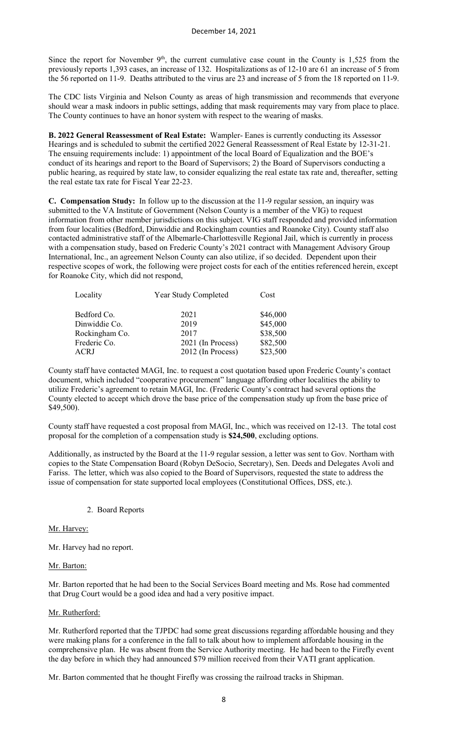Since the report for November  $9<sup>th</sup>$ , the current cumulative case count in the County is 1,525 from the previously reports 1,393 cases, an increase of 132. Hospitalizations as of 12-10 are 61 an increase of 5 from the 56 reported on 11-9. Deaths attributed to the virus are 23 and increase of 5 from the 18 reported on 11-9.

The CDC lists Virginia and Nelson County as areas of high transmission and recommends that everyone should wear a mask indoors in public settings, adding that mask requirements may vary from place to place. The County continues to have an honor system with respect to the wearing of masks.

**B. 2022 General Reassessment of Real Estate:** Wampler- Eanes is currently conducting its Assessor Hearings and is scheduled to submit the certified 2022 General Reassessment of Real Estate by 12-31-21. The ensuing requirements include: 1) appointment of the local Board of Equalization and the BOE's conduct of its hearings and report to the Board of Supervisors; 2) the Board of Supervisors conducting a public hearing, as required by state law, to consider equalizing the real estate tax rate and, thereafter, setting the real estate tax rate for Fiscal Year 22-23.

**C. Compensation Study:** In follow up to the discussion at the 11-9 regular session, an inquiry was submitted to the VA Institute of Government (Nelson County is a member of the VIG) to request information from other member jurisdictions on this subject. VIG staff responded and provided information from four localities (Bedford, Dinwiddie and Rockingham counties and Roanoke City). County staff also contacted administrative staff of the Albemarle-Charlottesville Regional Jail, which is currently in process with a compensation study, based on Frederic County's 2021 contract with Management Advisory Group International, Inc., an agreement Nelson County can also utilize, if so decided. Dependent upon their respective scopes of work, the following were project costs for each of the entities referenced herein, except for Roanoke City, which did not respond,

| Locality       | Year Study Completed | Cost     |  |
|----------------|----------------------|----------|--|
| Bedford Co.    | 2021                 | \$46,000 |  |
| Dinwiddie Co.  | 2019                 | \$45,000 |  |
| Rockingham Co. | 2017                 | \$38,500 |  |
| Frederic Co.   | 2021 (In Process)    | \$82,500 |  |
| ACRJ           | 2012 (In Process)    | \$23,500 |  |

County staff have contacted MAGI, Inc. to request a cost quotation based upon Frederic County's contact document, which included "cooperative procurement" language affording other localities the ability to utilize Frederic's agreement to retain MAGI, Inc. (Frederic County's contract had several options the County elected to accept which drove the base price of the compensation study up from the base price of \$49,500).

County staff have requested a cost proposal from MAGI, Inc., which was received on 12-13. The total cost proposal for the completion of a compensation study is **\$24,500**, excluding options.

Additionally, as instructed by the Board at the 11-9 regular session, a letter was sent to Gov. Northam with copies to the State Compensation Board (Robyn DeSocio, Secretary), Sen. Deeds and Delegates Avoli and Fariss. The letter, which was also copied to the Board of Supervisors, requested the state to address the issue of compensation for state supported local employees (Constitutional Offices, DSS, etc.).

2. Board Reports

#### Mr. Harvey:

Mr. Harvey had no report.

#### Mr. Barton:

Mr. Barton reported that he had been to the Social Services Board meeting and Ms. Rose had commented that Drug Court would be a good idea and had a very positive impact.

#### Mr. Rutherford:

Mr. Rutherford reported that the TJPDC had some great discussions regarding affordable housing and they were making plans for a conference in the fall to talk about how to implement affordable housing in the comprehensive plan. He was absent from the Service Authority meeting. He had been to the Firefly event the day before in which they had announced \$79 million received from their VATI grant application.

Mr. Barton commented that he thought Firefly was crossing the railroad tracks in Shipman.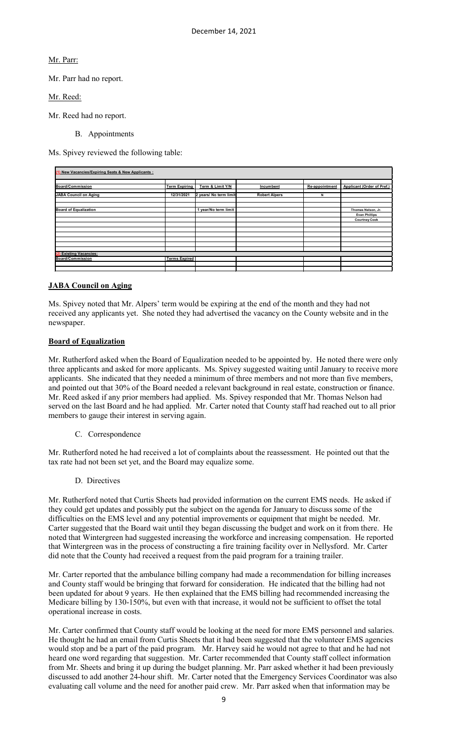Mr. Parr:

Mr. Parr had no report.

Mr. Reed:

Mr. Reed had no report.

B. Appointments

Ms. Spivey reviewed the following table:

| (1) New Vacancies/Expiring Seats & New Applicants : |                      |                        |                      |                |                                   |
|-----------------------------------------------------|----------------------|------------------------|----------------------|----------------|-----------------------------------|
|                                                     |                      |                        |                      |                |                                   |
|                                                     |                      |                        |                      |                |                                   |
| Board/Commission                                    | <b>Term Expiring</b> | Term & Limit Y/N       | Incumbent            | Re-appointment | <b>Applicant (Order of Pref.)</b> |
|                                                     |                      |                        |                      |                |                                   |
| <b>JABA Council on Aging</b>                        | 12/31/2021           | 2 years/ No term limit | <b>Robert Alpers</b> | N              |                                   |
|                                                     |                      |                        |                      |                |                                   |
|                                                     |                      |                        |                      |                |                                   |
| <b>Board of Equalization</b>                        |                      | 1 year/No term limit   |                      |                | Thomas Nelson, Jr.                |
|                                                     |                      |                        |                      |                | <b>Evan Phillips</b>              |
|                                                     |                      |                        |                      |                | <b>Courtney Cook</b>              |
|                                                     |                      |                        |                      |                |                                   |
|                                                     |                      |                        |                      |                |                                   |
|                                                     |                      |                        |                      |                |                                   |
|                                                     |                      |                        |                      |                |                                   |
|                                                     |                      |                        |                      |                |                                   |
|                                                     |                      |                        |                      |                |                                   |
| <b>Existing Vacancies:</b>                          |                      |                        |                      |                |                                   |
| <b>Board/Commission</b>                             | <b>Terms Expired</b> |                        |                      |                |                                   |
|                                                     |                      |                        |                      |                |                                   |
|                                                     |                      |                        |                      |                |                                   |

# **JABA Council on Aging**

Ms. Spivey noted that Mr. Alpers' term would be expiring at the end of the month and they had not received any applicants yet. She noted they had advertised the vacancy on the County website and in the newspaper.

# **Board of Equalization**

Mr. Rutherford asked when the Board of Equalization needed to be appointed by. He noted there were only three applicants and asked for more applicants. Ms. Spivey suggested waiting until January to receive more applicants. She indicated that they needed a minimum of three members and not more than five members, and pointed out that 30% of the Board needed a relevant background in real estate, construction or finance. Mr. Reed asked if any prior members had applied. Ms. Spivey responded that Mr. Thomas Nelson had served on the last Board and he had applied. Mr. Carter noted that County staff had reached out to all prior members to gauge their interest in serving again.

C. Correspondence

Mr. Rutherford noted he had received a lot of complaints about the reassessment. He pointed out that the tax rate had not been set yet, and the Board may equalize some.

D. Directives

Mr. Rutherford noted that Curtis Sheets had provided information on the current EMS needs. He asked if they could get updates and possibly put the subject on the agenda for January to discuss some of the difficulties on the EMS level and any potential improvements or equipment that might be needed. Mr. Carter suggested that the Board wait until they began discussing the budget and work on it from there. He noted that Wintergreen had suggested increasing the workforce and increasing compensation. He reported that Wintergreen was in the process of constructing a fire training facility over in Nellysford. Mr. Carter did note that the County had received a request from the paid program for a training trailer.

Mr. Carter reported that the ambulance billing company had made a recommendation for billing increases and County staff would be bringing that forward for consideration. He indicated that the billing had not been updated for about 9 years. He then explained that the EMS billing had recommended increasing the Medicare billing by 130-150%, but even with that increase, it would not be sufficient to offset the total operational increase in costs.

Mr. Carter confirmed that County staff would be looking at the need for more EMS personnel and salaries. He thought he had an email from Curtis Sheets that it had been suggested that the volunteer EMS agencies would stop and be a part of the paid program. Mr. Harvey said he would not agree to that and he had not heard one word regarding that suggestion. Mr. Carter recommended that County staff collect information from Mr. Sheets and bring it up during the budget planning. Mr. Parr asked whether it had been previously discussed to add another 24-hour shift. Mr. Carter noted that the Emergency Services Coordinator was also evaluating call volume and the need for another paid crew. Mr. Parr asked when that information may be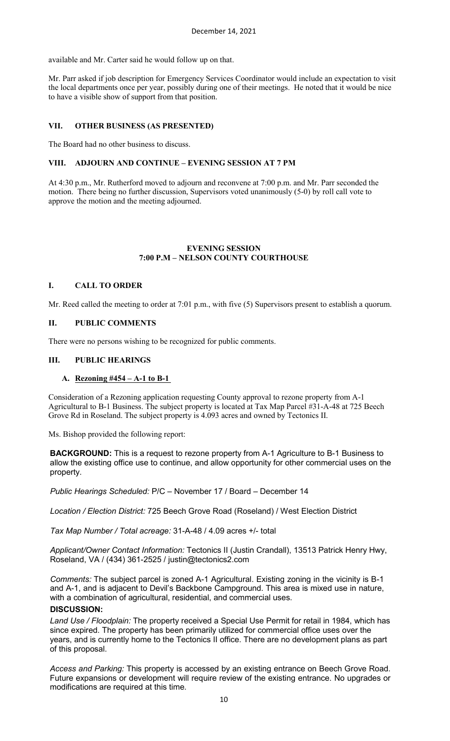available and Mr. Carter said he would follow up on that.

Mr. Parr asked if job description for Emergency Services Coordinator would include an expectation to visit the local departments once per year, possibly during one of their meetings. He noted that it would be nice to have a visible show of support from that position.

# **VII. OTHER BUSINESS (AS PRESENTED)**

The Board had no other business to discuss.

## **VIII. ADJOURN AND CONTINUE – EVENING SESSION AT 7 PM**

At 4:30 p.m., Mr. Rutherford moved to adjourn and reconvene at 7:00 p.m. and Mr. Parr seconded the motion. There being no further discussion, Supervisors voted unanimously (5-0) by roll call vote to approve the motion and the meeting adjourned.

#### **EVENING SESSION 7:00 P.M – NELSON COUNTY COURTHOUSE**

## **I. CALL TO ORDER**

Mr. Reed called the meeting to order at 7:01 p.m., with five (5) Supervisors present to establish a quorum.

#### **II. PUBLIC COMMENTS**

There were no persons wishing to be recognized for public comments.

#### **III. PUBLIC HEARINGS**

#### **A. Rezoning #454 – A-1 to B-1**

Consideration of a Rezoning application requesting County approval to rezone property from A-1 Agricultural to B-1 Business. The subject property is located at Tax Map Parcel #31-A-48 at 725 Beech Grove Rd in Roseland. The subject property is 4.093 acres and owned by Tectonics II.

Ms. Bishop provided the following report:

**BACKGROUND:** This is a request to rezone property from A-1 Agriculture to B-1 Business to allow the existing office use to continue, and allow opportunity for other commercial uses on the property.

*Public Hearings Scheduled:* P/C – November 17 / Board – December 14

*Location / Election District:* 725 Beech Grove Road (Roseland) / West Election District

*Tax Map Number / Total acreage:* 31-A-48 / 4.09 acres +/- total

*Applicant/Owner Contact Information:* Tectonics II (Justin Crandall), 13513 Patrick Henry Hwy, Roseland, VA / (434) 361-2525 / [justin@tectonics2.com](mailto:justin@tectonics2.com)

*Comments:* The subject parcel is zoned A-1 Agricultural. Existing zoning in the vicinity is B-1 and A-1, and is adjacent to Devil's Backbone Campground. This area is mixed use in nature, with a combination of agricultural, residential, and commercial uses.

# **DISCUSSION:**

*Land Use / Floodplain:* The property received a Special Use Permit for retail in 1984, which has since expired. The property has been primarily utilized for commercial office uses over the years, and is currently home to the Tectonics II office. There are no development plans as part of this proposal.

*Access and Parking:* This property is accessed by an existing entrance on Beech Grove Road. Future expansions or development will require review of the existing entrance. No upgrades or modifications are required at this time.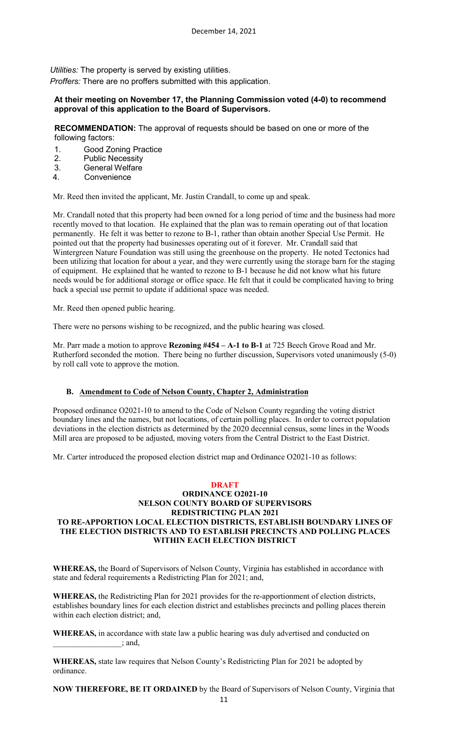*Utilities:* The property is served by existing utilities.

*Proffers:* There are no proffers submitted with this application.

## **At their meeting on November 17, the Planning Commission voted (4-0) to recommend approval of this application to the Board of Supervisors.**

**RECOMMENDATION:** The approval of requests should be based on one or more of the following factors:

- 1. Good Zoning Practice
- 2. Public Necessity
- 3. General Welfare
- 4. Convenience

Mr. Reed then invited the applicant, Mr. Justin Crandall, to come up and speak.

Mr. Crandall noted that this property had been owned for a long period of time and the business had more recently moved to that location. He explained that the plan was to remain operating out of that location permanently. He felt it was better to rezone to B-1, rather than obtain another Special Use Permit. He pointed out that the property had businesses operating out of it forever. Mr. Crandall said that Wintergreen Nature Foundation was still using the greenhouse on the property. He noted Tectonics had been utilizing that location for about a year, and they were currently using the storage barn for the staging of equipment. He explained that he wanted to rezone to B-1 because he did not know what his future needs would be for additional storage or office space. He felt that it could be complicated having to bring back a special use permit to update if additional space was needed.

Mr. Reed then opened public hearing.

There were no persons wishing to be recognized, and the public hearing was closed.

Mr. Parr made a motion to approve **Rezoning #454 – A-1 to B-1** at 725 Beech Grove Road and Mr. Rutherford seconded the motion. There being no further discussion, Supervisors voted unanimously (5-0) by roll call vote to approve the motion.

## **B. Amendment to Code of Nelson County, Chapter 2, Administration**

Proposed ordinance O2021-10 to amend to the Code of Nelson County regarding the voting district boundary lines and the names, but not locations, of certain polling places. In order to correct population deviations in the election districts as determined by the 2020 decennial census, some lines in the Woods Mill area are proposed to be adjusted, moving voters from the Central District to the East District.

Mr. Carter introduced the proposed election district map and Ordinance O2021-10 as follows:

## **DRAFT ORDINANCE O2021-10 NELSON COUNTY BOARD OF SUPERVISORS REDISTRICTING PLAN 2021 TO RE-APPORTION LOCAL ELECTION DISTRICTS, ESTABLISH BOUNDARY LINES OF THE ELECTION DISTRICTS AND TO ESTABLISH PRECINCTS AND POLLING PLACES WITHIN EACH ELECTION DISTRICT**

**WHEREAS,** the Board of Supervisors of Nelson County, Virginia has established in accordance with state and federal requirements a Redistricting Plan for 2021; and,

**WHEREAS,** the Redistricting Plan for 2021 provides for the re-apportionment of election districts, establishes boundary lines for each election district and establishes precincts and polling places therein within each election district; and,

**WHEREAS,** in accordance with state law a public hearing was duly advertised and conducted on  $\therefore$  and,

**WHEREAS,** state law requires that Nelson County's Redistricting Plan for 2021 be adopted by ordinance.

**NOW THEREFORE, BE IT ORDAINED** by the Board of Supervisors of Nelson County, Virginia that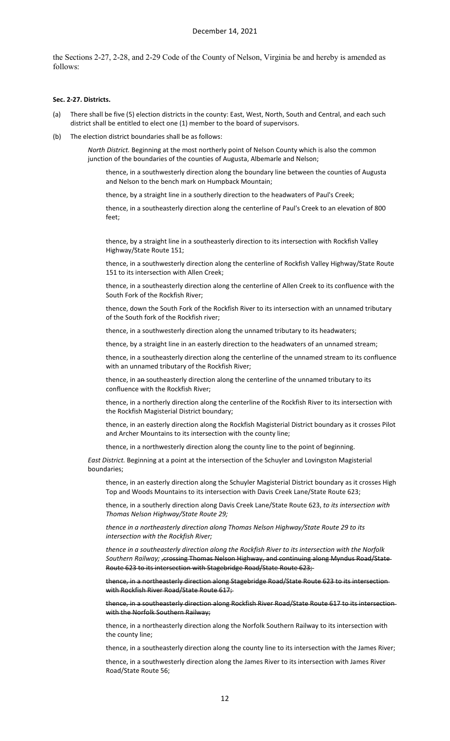the Sections 2-27, 2-28, and 2-29 Code of the County of Nelson, Virginia be and hereby is amended as follows:

#### **Sec. 2-27. Districts.**

- (a) There shall be five (5) election districts in the county: East, West, North, South and Central, and each such district shall be entitled to elect one (1) member to the board of supervisors.
- (b) The election district boundaries shall be as follows:

*North District.* Beginning at the most northerly point of Nelson County which is also the common junction of the boundaries of the counties of Augusta, Albemarle and Nelson;

thence, in a southwesterly direction along the boundary line between the counties of Augusta and Nelson to the bench mark on Humpback Mountain;

thence, by a straight line in a southerly direction to the headwaters of Paul's Creek;

thence, in a southeasterly direction along the centerline of Paul's Creek to an elevation of 800 feet;

thence, by a straight line in a southeasterly direction to its intersection with Rockfish Valley Highway/State Route 151;

thence, in a southwesterly direction along the centerline of Rockfish Valley Highway/State Route 151 to its intersection with Allen Creek;

thence, in a southeasterly direction along the centerline of Allen Creek to its confluence with the South Fork of the Rockfish River;

thence, down the South Fork of the Rockfish River to its intersection with an unnamed tributary of the South fork of the Rockfish river;

thence, in a southwesterly direction along the unnamed tributary to its headwaters;

thence, by a straight line in an easterly direction to the headwaters of an unnamed stream;

thence, in a southeasterly direction along the centerline of the unnamed stream to its confluence with an unnamed tributary of the Rockfish River;

thence, in an southeasterly direction along the centerline of the unnamed tributary to its confluence with the Rockfish River;

thence, in a northerly direction along the centerline of the Rockfish River to its intersection with the Rockfish Magisterial District boundary;

thence, in an easterly direction along the Rockfish Magisterial District boundary as it crosses Pilot and Archer Mountains to its intersection with the county line;

thence, in a northwesterly direction along the county line to the point of beginning.

*East District.* Beginning at a point at the intersection of the Schuyler and Lovingston Magisterial boundaries;

thence, in an easterly direction along the Schuyler Magisterial District boundary as it crosses High Top and Woods Mountains to its intersection with Davis Creek Lane/State Route 623;

thence, in a southerly direction along Davis Creek Lane/State Route 623, *to its intersection with Thomas Nelson Highway/State Route 29;* 

*thence in a northeasterly direction along Thomas Nelson Highway/State Route 29 to its intersection with the Rockfish River;* 

*thence in a southeasterly direction along the Rockfish River to its intersection with the Norfolk*  Southern Railway; <sub>r</sub>crossing Thomas Nelson Highway, and continuing along Myndus Road/State-Route 623 to its intersection with Stagebridge Road/State Route 623;

thence, in a northeasterly direction along Stagebridge Road/State Route 623 to its intersection with Rockfish River Road/State Route 617;

thence, in a southeasterly direction along Rockfish River Road/State Route 617 to its intersection with the Norfolk Southern Railway;

thence, in a northeasterly direction along the Norfolk Southern Railway to its intersection with the county line;

thence, in a southeasterly direction along the county line to its intersection with the James River;

thence, in a southwesterly direction along the James River to its intersection with James River Road/State Route 56;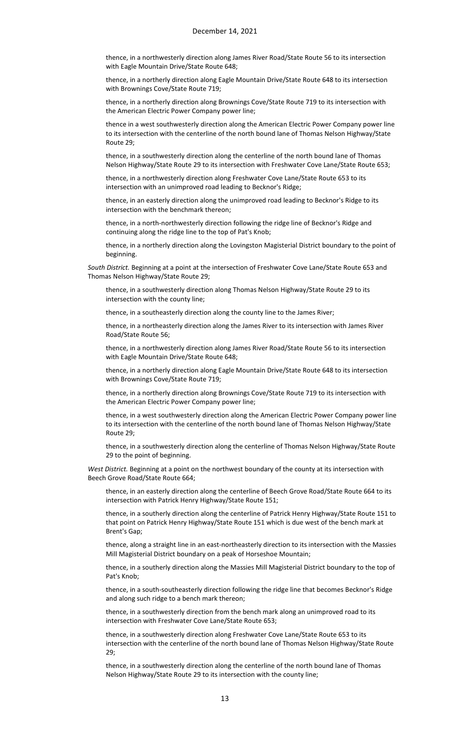thence, in a northwesterly direction along James River Road/State Route 56 to its intersection with Eagle Mountain Drive/State Route 648;

thence, in a northerly direction along Eagle Mountain Drive/State Route 648 to its intersection with Brownings Cove/State Route 719;

thence, in a northerly direction along Brownings Cove/State Route 719 to its intersection with the American Electric Power Company power line;

thence in a west southwesterly direction along the American Electric Power Company power line to its intersection with the centerline of the north bound lane of Thomas Nelson Highway/State Route 29;

thence, in a southwesterly direction along the centerline of the north bound lane of Thomas Nelson Highway/State Route 29 to its intersection with Freshwater Cove Lane/State Route 653;

thence, in a northwesterly direction along Freshwater Cove Lane/State Route 653 to its intersection with an unimproved road leading to Becknor's Ridge;

thence, in an easterly direction along the unimproved road leading to Becknor's Ridge to its intersection with the benchmark thereon;

thence, in a north-northwesterly direction following the ridge line of Becknor's Ridge and continuing along the ridge line to the top of Pat's Knob;

thence, in a northerly direction along the Lovingston Magisterial District boundary to the point of beginning.

*South District.* Beginning at a point at the intersection of Freshwater Cove Lane/State Route 653 and Thomas Nelson Highway/State Route 29;

thence, in a southwesterly direction along Thomas Nelson Highway/State Route 29 to its intersection with the county line;

thence, in a southeasterly direction along the county line to the James River;

thence, in a northeasterly direction along the James River to its intersection with James River Road/State Route 56;

thence, in a northwesterly direction along James River Road/State Route 56 to its intersection with Eagle Mountain Drive/State Route 648;

thence, in a northerly direction along Eagle Mountain Drive/State Route 648 to its intersection with Brownings Cove/State Route 719;

thence, in a northerly direction along Brownings Cove/State Route 719 to its intersection with the American Electric Power Company power line;

thence, in a west southwesterly direction along the American Electric Power Company power line to its intersection with the centerline of the north bound lane of Thomas Nelson Highway/State Route 29;

thence, in a southwesterly direction along the centerline of Thomas Nelson Highway/State Route 29 to the point of beginning.

*West District.* Beginning at a point on the northwest boundary of the county at its intersection with Beech Grove Road/State Route 664;

thence, in an easterly direction along the centerline of Beech Grove Road/State Route 664 to its intersection with Patrick Henry Highway/State Route 151;

thence, in a southerly direction along the centerline of Patrick Henry Highway/State Route 151 to that point on Patrick Henry Highway/State Route 151 which is due west of the bench mark at Brent's Gap;

thence, along a straight line in an east-northeasterly direction to its intersection with the Massies Mill Magisterial District boundary on a peak of Horseshoe Mountain;

thence, in a southerly direction along the Massies Mill Magisterial District boundary to the top of Pat's Knob;

thence, in a south-southeasterly direction following the ridge line that becomes Becknor's Ridge and along such ridge to a bench mark thereon;

thence, in a southwesterly direction from the bench mark along an unimproved road to its intersection with Freshwater Cove Lane/State Route 653;

thence, in a southwesterly direction along Freshwater Cove Lane/State Route 653 to its intersection with the centerline of the north bound lane of Thomas Nelson Highway/State Route 29;

thence, in a southwesterly direction along the centerline of the north bound lane of Thomas Nelson Highway/State Route 29 to its intersection with the county line;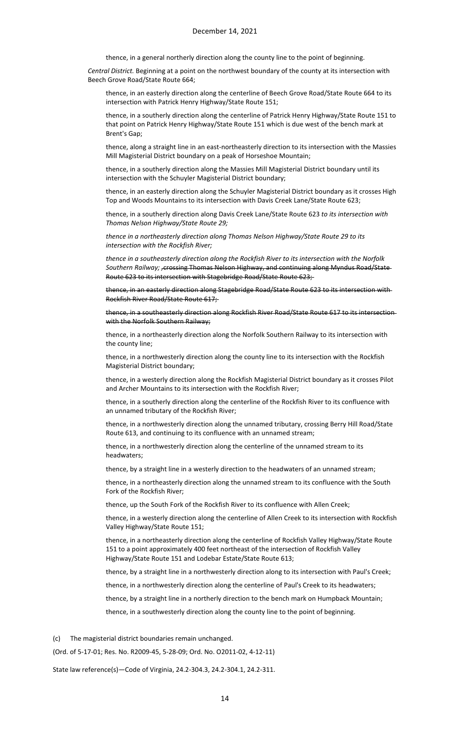thence, in a general northerly direction along the county line to the point of beginning.

*Central District.* Beginning at a point on the northwest boundary of the county at its intersection with Beech Grove Road/State Route 664;

thence, in an easterly direction along the centerline of Beech Grove Road/State Route 664 to its intersection with Patrick Henry Highway/State Route 151;

thence, in a southerly direction along the centerline of Patrick Henry Highway/State Route 151 to that point on Patrick Henry Highway/State Route 151 which is due west of the bench mark at Brent's Gap;

thence, along a straight line in an east-northeasterly direction to its intersection with the Massies Mill Magisterial District boundary on a peak of Horseshoe Mountain;

thence, in a southerly direction along the Massies Mill Magisterial District boundary until its intersection with the Schuyler Magisterial District boundary;

thence, in an easterly direction along the Schuyler Magisterial District boundary as it crosses High Top and Woods Mountains to its intersection with Davis Creek Lane/State Route 623;

thence, in a southerly direction along Davis Creek Lane/State Route 623 *to its intersection with Thomas Nelson Highway/State Route 29;* 

*thence in a northeasterly direction along Thomas Nelson Highway/State Route 29 to its intersection with the Rockfish River;* 

*thence in a southeasterly direction along the Rockfish River to its intersection with the Norfolk Southern Railway; ,*crossing Thomas Nelson Highway, and continuing along Myndus Road/State Route 623 to its intersection with Stagebridge Road/State Route 623;

thence, in an easterly direction along Stagebridge Road/State Route 623 to its intersection with Rockfish River Road/State Route 617;

tee, in a southeasterly direction along Rockfish River Road/State Route 617 to its intersectionwith the Norfolk Southern Railway;

thence, in a northeasterly direction along the Norfolk Southern Railway to its intersection with the county line;

thence, in a northwesterly direction along the county line to its intersection with the Rockfish Magisterial District boundary;

thence, in a westerly direction along the Rockfish Magisterial District boundary as it crosses Pilot and Archer Mountains to its intersection with the Rockfish River;

thence, in a southerly direction along the centerline of the Rockfish River to its confluence with an unnamed tributary of the Rockfish River;

thence, in a northwesterly direction along the unnamed tributary, crossing Berry Hill Road/State Route 613, and continuing to its confluence with an unnamed stream;

thence, in a northwesterly direction along the centerline of the unnamed stream to its headwaters;

thence, by a straight line in a westerly direction to the headwaters of an unnamed stream;

thence, in a northeasterly direction along the unnamed stream to its confluence with the South Fork of the Rockfish River;

thence, up the South Fork of the Rockfish River to its confluence with Allen Creek;

thence, in a westerly direction along the centerline of Allen Creek to its intersection with Rockfish Valley Highway/State Route 151;

thence, in a northeasterly direction along the centerline of Rockfish Valley Highway/State Route 151 to a point approximately 400 feet northeast of the intersection of Rockfish Valley Highway/State Route 151 and Lodebar Estate/State Route 613;

thence, by a straight line in a northwesterly direction along to its intersection with Paul's Creek;

thence, in a northwesterly direction along the centerline of Paul's Creek to its headwaters;

thence, by a straight line in a northerly direction to the bench mark on Humpback Mountain;

thence, in a southwesterly direction along the county line to the point of beginning.

(c) The magisterial district boundaries remain unchanged.

(Ord. of 5-17-01; Res. No. R2009-45, 5-28-09; Ord. No. O2011-02, 4-12-11)

State law reference(s)—Code of Virginia, 24.2-304.3, 24.2-304.1, 24.2-311.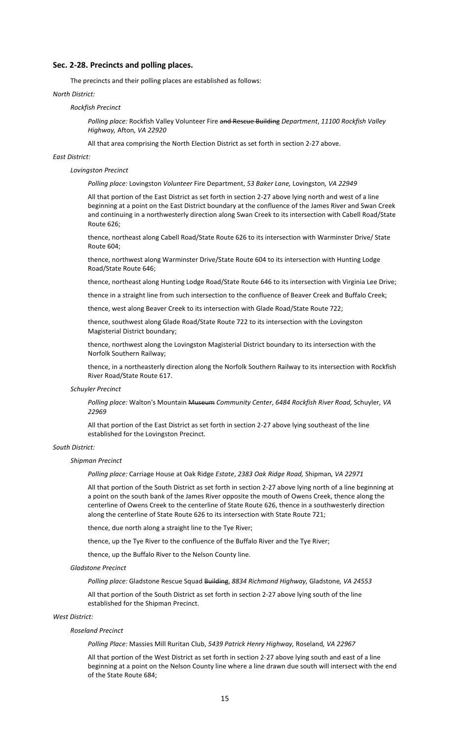## **Sec. 2-28. Precincts and polling places.**

The precincts and their polling places are established as follows:

#### *North District:*

#### *Rockfish Precinct*

*Polling place:* Rockfish Valley Volunteer Fire and Rescue Building *Department*, *11100 Rockfish Valley Highway,* Afton*, VA 22920*

All that area comprising the North Election District as set forth in section 2-27 above.

#### *East District:*

#### *Lovingston Precinct*

*Polling place:* Lovingston *Volunteer* Fire Department, *53 Baker Lane,* Lovingston*, VA 22949*

All that portion of the East District as set forth in section 2-27 above lying north and west of a line beginning at a point on the East District boundary at the confluence of the James River and Swan Creek and continuing in a northwesterly direction along Swan Creek to its intersection with Cabell Road/State Route 626;

thence, northeast along Cabell Road/State Route 626 to its intersection with Warminster Drive/ State Route 604;

thence, northwest along Warminster Drive/State Route 604 to its intersection with Hunting Lodge Road/State Route 646;

thence, northeast along Hunting Lodge Road/State Route 646 to its intersection with Virginia Lee Drive;

thence in a straight line from such intersection to the confluence of Beaver Creek and Buffalo Creek;

thence, west along Beaver Creek to its intersection with Glade Road/State Route 722;

thence, southwest along Glade Road/State Route 722 to its intersection with the Lovingston Magisterial District boundary;

thence, northwest along the Lovingston Magisterial District boundary to its intersection with the Norfolk Southern Railway;

thence, in a northeasterly direction along the Norfolk Southern Railway to its intersection with Rockfish River Road/State Route 617.

#### *Schuyler Precinct*

*Polling place:* Walton's Mountain Museum *Community Center*, *6484 Rockfish River Road,* Schuyler*, VA 22969*

All that portion of the East District as set forth in section 2-27 above lying southeast of the line established for the Lovingston Precinct.

#### *South District:*

#### *Shipman Precinct*

*Polling place:* Carriage House at Oak Ridge *Estate*, *2383 Oak Ridge Road,* Shipman*, VA 22971*

All that portion of the South District as set forth in section 2-27 above lying north of a line beginning at a point on the south bank of the James River opposite the mouth of Owens Creek, thence along the centerline of Owens Creek to the centerline of State Route 626, thence in a southwesterly direction along the centerline of State Route 626 to its intersection with State Route 721;

thence, due north along a straight line to the Tye River;

thence, up the Tye River to the confluence of the Buffalo River and the Tye River;

thence, up the Buffalo River to the Nelson County line.

#### *Gladstone Precinct*

*Polling place:* Gladstone Rescue Squad Building, *8834 Richmond Highway,* Gladstone*, VA 24553*

All that portion of the South District as set forth in section 2-27 above lying south of the line established for the Shipman Precinct.

## *West District:*

#### *Roseland Precinct*

*Polling Place:* Massies Mill Ruritan Club, *5439 Patrick Henry Highway,* Roseland*, VA 22967*

All that portion of the West District as set forth in section 2-27 above lying south and east of a line beginning at a point on the Nelson County line where a line drawn due south will intersect with the end of the State Route 684;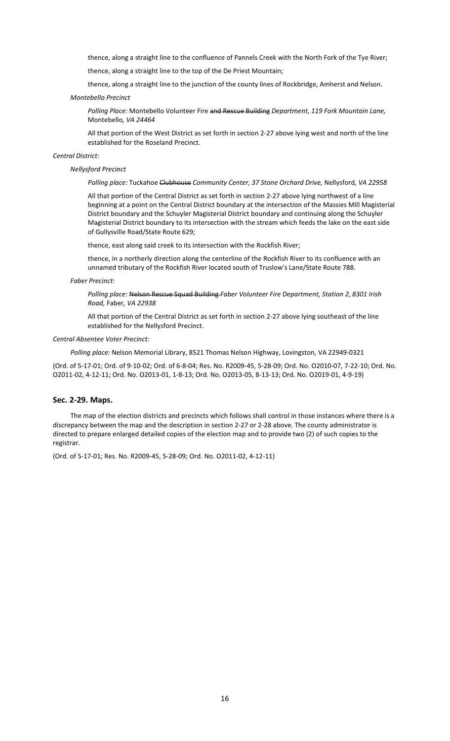thence, along a straight line to the confluence of Pannels Creek with the North Fork of the Tye River;

thence, along a straight line to the top of the De Priest Mountain;

thence, along a straight line to the junction of the county lines of Rockbridge, Amherst and Nelson.

#### *Montebello Precinct*

*Polling Place:* Montebello Volunteer Fire and Rescue Building *Department*, *119 Fork Mountain Lane,*  Montebello*, VA 24464*

All that portion of the West District as set forth in section 2-27 above lying west and north of the line established for the Roseland Precinct.

#### *Central District:*

#### *Nellysford Precinct*

*Polling place:* Tuckahoe Clubhouse *Community Center*, *37 Stone Orchard Drive,* Nellysford*, VA 22958*

All that portion of the Central District as set forth in section 2-27 above lying northwest of a line beginning at a point on the Central District boundary at the intersection of the Massies Mill Magisterial District boundary and the Schuyler Magisterial District boundary and continuing along the Schuyler Magisterial District boundary to its intersection with the stream which feeds the lake on the east side of Gullysville Road/State Route 629;

thence, east along said creek to its intersection with the Rockfish River;

thence, in a northerly direction along the centerline of the Rockfish River to its confluence with an unnamed tributary of the Rockfish River located south of Truslow's Lane/State Route 788.

#### *Faber Precinct:*

*Polling place:* Nelson Rescue Squad Building *Faber Volunteer Fire Department, Station 2*, *8301 Irish Road,* Faber*, VA 22938*

All that portion of the Central District as set forth in section 2-27 above lying southeast of the line established for the Nellysford Precinct.

#### *Central Absentee Voter Precinct:*

*Polling place:* Nelson Memorial Library, 8521 Thomas Nelson Highway, Lovingston, VA 22949-0321

(Ord. of 5-17-01; Ord. of 9-10-02; Ord. of 6-8-04; Res. No. R2009-45, 5-28-09; Ord. No. O2010-07, 7-22-10; Ord. No. O2011-02, 4-12-11; Ord. No. O2013-01, 1-8-13; Ord. No. O2013-05, 8-13-13; Ord. No. O2019-01, 4-9-19)

#### **Sec. 2-29. Maps.**

The map of the election districts and precincts which follows shall control in those instances where there is a discrepancy between the map and the description in section 2-27 or 2-28 above. The county administrator is directed to prepare enlarged detailed copies of the election map and to provide two (2) of such copies to the registrar.

(Ord. of 5-17-01; Res. No. R2009-45, 5-28-09; Ord. No. O2011-02, 4-12-11)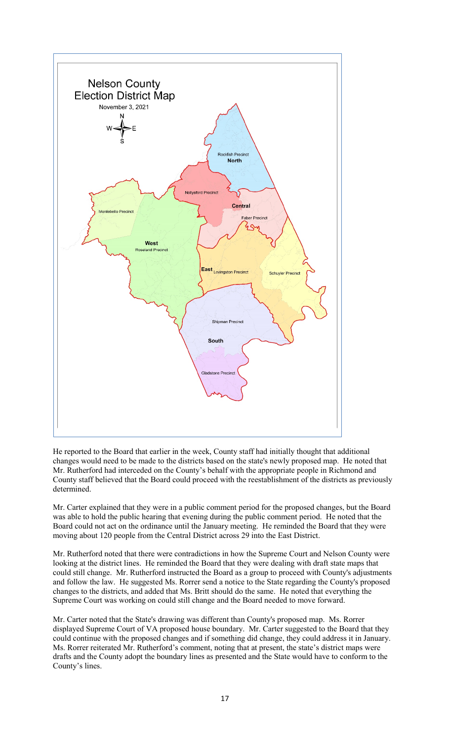

He reported to the Board that earlier in the week, County staff had initially thought that additional changes would need to be made to the districts based on the state's newly proposed map. He noted that Mr. Rutherford had interceded on the County's behalf with the appropriate people in Richmond and County staff believed that the Board could proceed with the reestablishment of the districts as previously determined.

Mr. Carter explained that they were in a public comment period for the proposed changes, but the Board was able to hold the public hearing that evening during the public comment period. He noted that the Board could not act on the ordinance until the January meeting. He reminded the Board that they were moving about 120 people from the Central District across 29 into the East District.

Mr. Rutherford noted that there were contradictions in how the Supreme Court and Nelson County were looking at the district lines. He reminded the Board that they were dealing with draft state maps that could still change. Mr. Rutherford instructed the Board as a group to proceed with County's adjustments and follow the law. He suggested Ms. Rorrer send a notice to the State regarding the County's proposed changes to the districts, and added that Ms. Britt should do the same. He noted that everything the Supreme Court was working on could still change and the Board needed to move forward.

Mr. Carter noted that the State's drawing was different than County's proposed map. Ms. Rorrer displayed Supreme Court of VA proposed house boundary. Mr. Carter suggested to the Board that they could continue with the proposed changes and if something did change, they could address it in January. Ms. Rorrer reiterated Mr. Rutherford's comment, noting that at present, the state's district maps were drafts and the County adopt the boundary lines as presented and the State would have to conform to the County's lines.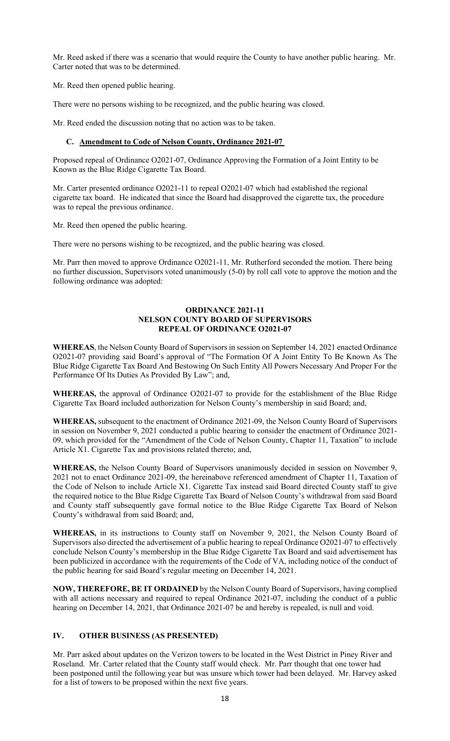Mr. Reed asked if there was a scenario that would require the County to have another public hearing. Mr. Carter noted that was to be determined.

Mr. Reed then opened public hearing.

There were no persons wishing to be recognized, and the public hearing was closed.

Mr. Reed ended the discussion noting that no action was to be taken.

## **C. Amendment to Code of Nelson County, Ordinance 2021-07**

Proposed repeal of Ordinance O2021-07, Ordinance Approving the Formation of a Joint Entity to be Known as the Blue Ridge Cigarette Tax Board.

Mr. Carter presented ordinance O2021-11 to repeal O2021-07 which had established the regional cigarette tax board. He indicated that since the Board had disapproved the cigarette tax, the procedure was to repeal the previous ordinance.

Mr. Reed then opened the public hearing.

There were no persons wishing to be recognized, and the public hearing was closed.

Mr. Parr then moved to approve Ordinance O2021-11, Mr. Rutherford seconded the motion. There being no further discussion, Supervisors voted unanimously (5-0) by roll call vote to approve the motion and the following ordinance was adopted:

#### **ORDINANCE 2021-11 NELSON COUNTY BOARD OF SUPERVISORS REPEAL OF ORDINANCE O2021-07**

**WHEREAS**, the Nelson County Board of Supervisors in session on September 14, 2021 enacted Ordinance O2021-07 providing said Board's approval of "The Formation Of A Joint Entity To Be Known As The Blue Ridge Cigarette Tax Board And Bestowing On Such Entity All Powers Necessary And Proper For the Performance Of Its Duties As Provided By Law"; and,

**WHEREAS,** the approval of Ordinance O2021-07 to provide for the establishment of the Blue Ridge Cigarette Tax Board included authorization for Nelson County's membership in said Board; and,

**WHEREAS,** subsequent to the enactment of Ordinance 2021-09, the Nelson County Board of Supervisors in session on November 9, 2021 conducted a public hearing to consider the enactment of Ordinance 2021- 09, which provided for the "Amendment of the Code of Nelson County, Chapter 11, Taxation" to include Article X1. Cigarette Tax and provisions related thereto; and,

**WHEREAS,** the Nelson County Board of Supervisors unanimously decided in session on November 9, 2021 not to enact Ordinance 2021-09, the hereinabove referenced amendment of Chapter 11, Taxation of the Code of Nelson to include Article X1. Cigarette Tax instead said Board directed County staff to give the required notice to the Blue Ridge Cigarette Tax Board of Nelson County's withdrawal from said Board and County staff subsequently gave formal notice to the Blue Ridge Cigarette Tax Board of Nelson County's withdrawal from said Board; and,

**WHEREAS,** in its instructions to County staff on November 9, 2021, the Nelson County Board of Supervisors also directed the advertisement of a public hearing to repeal Ordinance O2021-07 to effectively conclude Nelson County's membership in the Blue Ridge Cigarette Tax Board and said advertisement has been publicized in accordance with the requirements of the Code of VA, including notice of the conduct of the public hearing for said Board's regular meeting on December 14, 2021.

**NOW, THEREFORE, BE IT ORDAINED** by the Nelson County Board of Supervisors, having complied with all actions necessary and required to repeal Ordinance 2021-07, including the conduct of a public hearing on December 14, 2021, that Ordinance 2021-07 be and hereby is repealed, is null and void.

# **IV. OTHER BUSINESS (AS PRESENTED)**

Mr. Parr asked about updates on the Verizon towers to be located in the West District in Piney River and Roseland. Mr. Carter related that the County staff would check. Mr. Parr thought that one tower had been postponed until the following year but was unsure which tower had been delayed. Mr. Harvey asked for a list of towers to be proposed within the next five years.